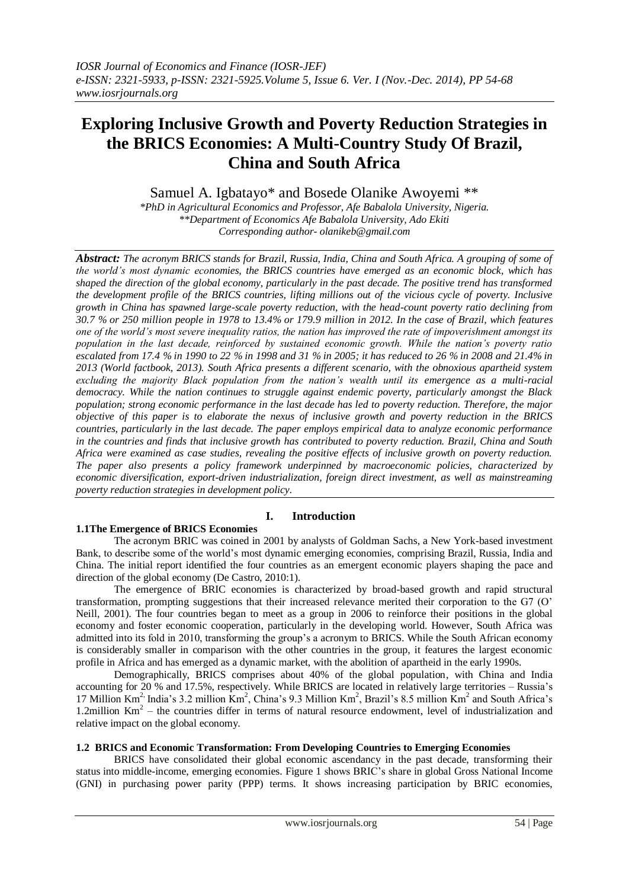# **Exploring Inclusive Growth and Poverty Reduction Strategies in the BRICS Economies: A Multi-Country Study Of Brazil, China and South Africa**

Samuel A. Igbatayo\* and Bosede Olanike Awoyemi \*\*

*\*PhD in Agricultural Economics and Professor, Afe Babalola University, Nigeria. \*\*Department of Economics Afe Babalola University, Ado Ekiti Corresponding author- olanikeb@gmail.com*

*Abstract: The acronym BRICS stands for Brazil, Russia, India, China and South Africa. A grouping of some of the world's most dynamic economies, the BRICS countries have emerged as an economic block, which has shaped the direction of the global economy, particularly in the past decade. The positive trend has transformed the development profile of the BRICS countries, lifting millions out of the vicious cycle of poverty. Inclusive growth in China has spawned large-scale poverty reduction, with the head-count poverty ratio declining from 30.7 % or 250 million people in 1978 to 13.4% or 179.9 million in 2012. In the case of Brazil, which features one of the world's most severe inequality ratios, the nation has improved the rate of impoverishment amongst its population in the last decade, reinforced by sustained economic growth. While the nation's poverty ratio escalated from 17.4 % in 1990 to 22 % in 1998 and 31 % in 2005; it has reduced to 26 % in 2008 and 21.4% in 2013 (World factbook, 2013). South Africa presents a different scenario, with the obnoxious apartheid system excluding the majority Black population from the nation's wealth until its emergence as a multi-racial democracy. While the nation continues to struggle against endemic poverty, particularly amongst the Black population; strong economic performance in the last decade has led to poverty reduction. Therefore, the major objective of this paper is to elaborate the nexus of inclusive growth and poverty reduction in the BRICS countries, particularly in the last decade. The paper employs empirical data to analyze economic performance in the countries and finds that inclusive growth has contributed to poverty reduction. Brazil, China and South Africa were examined as case studies, revealing the positive effects of inclusive growth on poverty reduction. The paper also presents a policy framework underpinned by macroeconomic policies, characterized by economic diversification, export-driven industrialization, foreign direct investment, as well as mainstreaming poverty reduction strategies in development policy.*

# **I. Introduction**

# **1.1The Emergence of BRICS Economies**

The acronym BRIC was coined in 2001 by analysts of Goldman Sachs, a New York-based investment Bank, to describe some of the world"s most dynamic emerging economies, comprising Brazil, Russia, India and China. The initial report identified the four countries as an emergent economic players shaping the pace and direction of the global economy (De Castro, 2010:1).

The emergence of BRIC economies is characterized by broad-based growth and rapid structural transformation, prompting suggestions that their increased relevance merited their corporation to the G7 (O" Neill, 2001). The four countries began to meet as a group in 2006 to reinforce their positions in the global economy and foster economic cooperation, particularly in the developing world. However, South Africa was admitted into its fold in 2010, transforming the group"s a acronym to BRICS. While the South African economy is considerably smaller in comparison with the other countries in the group, it features the largest economic profile in Africa and has emerged as a dynamic market, with the abolition of apartheid in the early 1990s.

Demographically, BRICS comprises about 40% of the global population, with China and India accounting for 20 % and 17.5%, respectively. While BRICS are located in relatively large territories – Russia"s 17 Million Km<sup>2,</sup> India's 3.2 million Km<sup>2</sup>, China's 9.3 Million Km<sup>2</sup>, Brazil's 8.5 million Km<sup>2</sup> and South Africa's 1.2million Km<sup>2</sup> – the countries differ in terms of natural resource endowment, level of industrialization and relative impact on the global economy.

# **1.2 BRICS and Economic Transformation: From Developing Countries to Emerging Economies**

BRICS have consolidated their global economic ascendancy in the past decade, transforming their status into middle-income, emerging economies. Figure 1 shows BRIC"s share in global Gross National Income (GNI) in purchasing power parity (PPP) terms. It shows increasing participation by BRIC economies,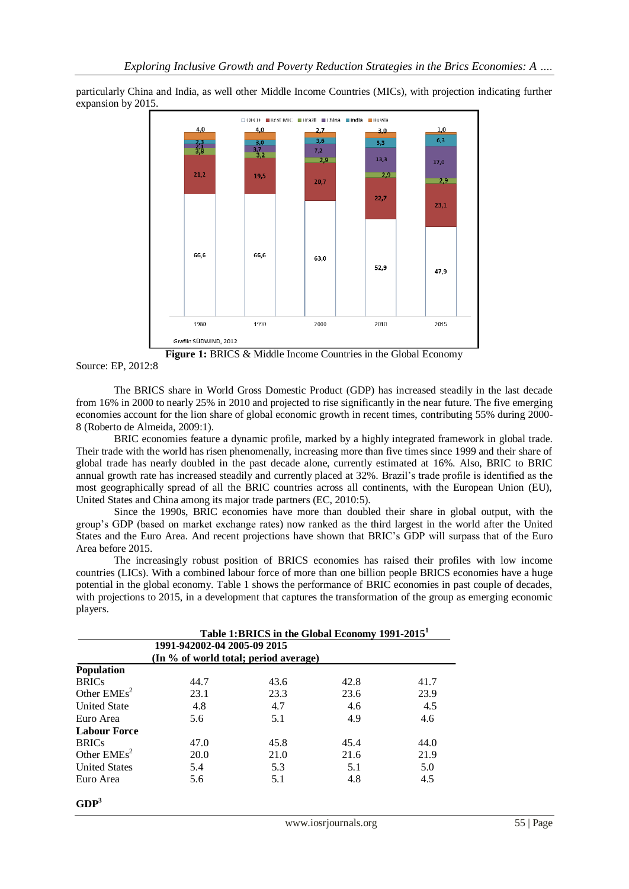particularly China and India, as well other Middle Income Countries (MICs), with projection indicating further expansion by 2015.



Source: EP, 2012:8

The BRICS share in World Gross Domestic Product (GDP) has increased steadily in the last decade from 16% in 2000 to nearly 25% in 2010 and projected to rise significantly in the near future. The five emerging economies account for the lion share of global economic growth in recent times, contributing 55% during 2000- 8 (Roberto de Almeida, 2009:1).

BRIC economies feature a dynamic profile, marked by a highly integrated framework in global trade. Their trade with the world has risen phenomenally, increasing more than five times since 1999 and their share of global trade has nearly doubled in the past decade alone, currently estimated at 16%. Also, BRIC to BRIC annual growth rate has increased steadily and currently placed at 32%. Brazil"s trade profile is identified as the most geographically spread of all the BRIC countries across all continents, with the European Union (EU), United States and China among its major trade partners (EC, 2010:5).

Since the 1990s, BRIC economies have more than doubled their share in global output, with the group"s GDP (based on market exchange rates) now ranked as the third largest in the world after the United States and the Euro Area. And recent projections have shown that BRIC"s GDP will surpass that of the Euro Area before 2015.

The increasingly robust position of BRICS economies has raised their profiles with low income countries (LICs). With a combined labour force of more than one billion people BRICS economies have a huge potential in the global economy. Table 1 shows the performance of BRIC economies in past couple of decades, with projections to 2015, in a development that captures the transformation of the group as emerging economic players.

| Table 1:BRICS in the Global Economy 1991-2015 <sup>1</sup>           |      |      |               |      |
|----------------------------------------------------------------------|------|------|---------------|------|
| 1991-942002-04 2005-09 2015<br>(In % of world total; period average) |      |      |               |      |
|                                                                      |      |      |               |      |
| <b>BRICs</b>                                                         | 44.7 | 43.6 | 42.8          | 41.7 |
| Other $EMEs2$                                                        | 23.1 | 23.3 | 23.6          | 23.9 |
| <b>United State</b>                                                  | 4.8  | 4.7  | $4.6^{\circ}$ | 4.5  |
| Euro Area                                                            | 5.6  | 5.1  | 4.9           | 4.6  |
| <b>Labour Force</b>                                                  |      |      |               |      |
| <b>BRICs</b>                                                         | 47.0 | 45.8 | 45.4          | 44.0 |
| Other $EMEs2$                                                        | 20.0 | 21.0 | 21.6          | 21.9 |
| <b>United States</b>                                                 | 5.4  | 5.3  | 5.1           | 5.0  |
| Euro Area                                                            | 5.6  | 5.1  | 4.8           | 4.5  |
|                                                                      |      |      |               |      |

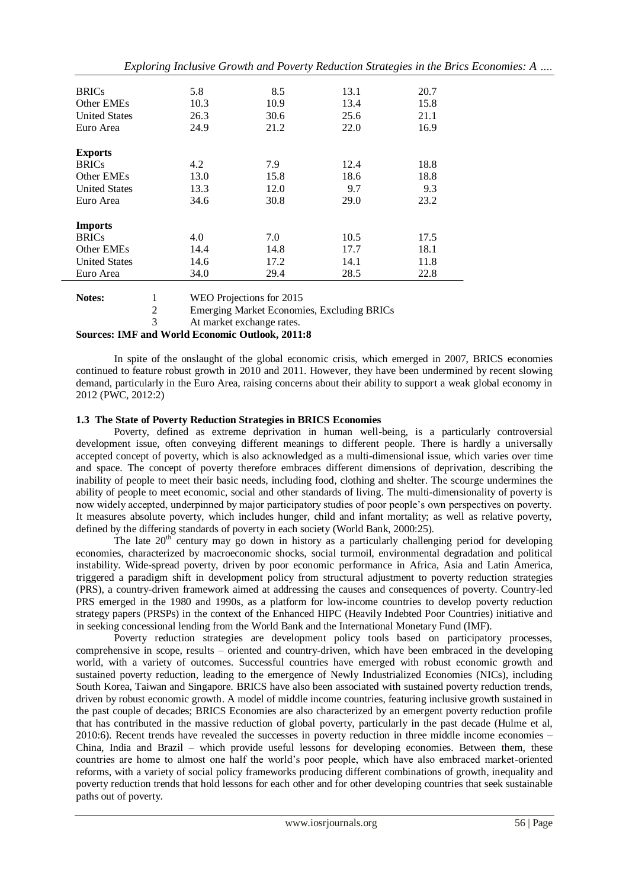|                      |      |      |      | Exploring Inclusive Growth and Poverty Reduction Strategies in the Brics Economies: A |
|----------------------|------|------|------|---------------------------------------------------------------------------------------|
| <b>BRICs</b>         | 5.8  | 8.5  | 13.1 | 20.7                                                                                  |
| Other EMEs           | 10.3 | 10.9 | 13.4 | 15.8                                                                                  |
| <b>United States</b> | 26.3 | 30.6 | 25.6 | 21.1                                                                                  |
| Euro Area            | 24.9 | 21.2 | 22.0 | 16.9                                                                                  |
| <b>Exports</b>       |      |      |      |                                                                                       |
| <b>BRICs</b>         | 4.2  | 7.9  | 12.4 | 18.8                                                                                  |
| Other EMEs           | 13.0 | 15.8 | 18.6 | 18.8                                                                                  |
| <b>United States</b> | 13.3 | 12.0 | 9.7  | 9.3                                                                                   |
| Euro Area            | 34.6 | 30.8 | 29.0 | 23.2                                                                                  |
| <b>Imports</b>       |      |      |      |                                                                                       |
| <b>BRICs</b>         | 4.0  | 7.0  | 10.5 | 17.5                                                                                  |
| Other EMEs           | 14.4 | 14.8 | 17.7 | 18.1                                                                                  |
| <b>United States</b> | 14.6 | 17.2 | 14.1 | 11.8                                                                                  |
| Euro Area            | 34.0 | 29.4 | 28.5 | 22.8                                                                                  |



3 At market exchange rates.

**Sources: IMF and World Economic Outlook, 2011:8**

In spite of the onslaught of the global economic crisis, which emerged in 2007, BRICS economies continued to feature robust growth in 2010 and 2011. However, they have been undermined by recent slowing demand, particularly in the Euro Area, raising concerns about their ability to support a weak global economy in 2012 (PWC, 2012:2)

#### **1.3 The State of Poverty Reduction Strategies in BRICS Economies**

Poverty, defined as extreme deprivation in human well-being, is a particularly controversial development issue, often conveying different meanings to different people. There is hardly a universally accepted concept of poverty, which is also acknowledged as a multi-dimensional issue, which varies over time and space. The concept of poverty therefore embraces different dimensions of deprivation, describing the inability of people to meet their basic needs, including food, clothing and shelter. The scourge undermines the ability of people to meet economic, social and other standards of living. The multi-dimensionality of poverty is now widely accepted, underpinned by major participatory studies of poor people"s own perspectives on poverty. It measures absolute poverty, which includes hunger, child and infant mortality; as well as relative poverty, defined by the differing standards of poverty in each society (World Bank, 2000:25).

The late  $20^{th}$  century may go down in history as a particularly challenging period for developing economies, characterized by macroeconomic shocks, social turmoil, environmental degradation and political instability. Wide-spread poverty, driven by poor economic performance in Africa, Asia and Latin America, triggered a paradigm shift in development policy from structural adjustment to poverty reduction strategies (PRS), a country-driven framework aimed at addressing the causes and consequences of poverty. Country-led PRS emerged in the 1980 and 1990s, as a platform for low-income countries to develop poverty reduction strategy papers (PRSPs) in the context of the Enhanced HIPC (Heavily Indebted Poor Countries) initiative and in seeking concessional lending from the World Bank and the International Monetary Fund (IMF).

Poverty reduction strategies are development policy tools based on participatory processes, comprehensive in scope, results – oriented and country-driven, which have been embraced in the developing world, with a variety of outcomes. Successful countries have emerged with robust economic growth and sustained poverty reduction, leading to the emergence of Newly Industrialized Economies (NICs), including South Korea, Taiwan and Singapore. BRICS have also been associated with sustained poverty reduction trends, driven by robust economic growth. A model of middle income countries, featuring inclusive growth sustained in the past couple of decades; BRICS Economies are also characterized by an emergent poverty reduction profile that has contributed in the massive reduction of global poverty, particularly in the past decade (Hulme et al, 2010:6). Recent trends have revealed the successes in poverty reduction in three middle income economies – China, India and Brazil – which provide useful lessons for developing economies. Between them, these countries are home to almost one half the world"s poor people, which have also embraced market-oriented reforms, with a variety of social policy frameworks producing different combinations of growth, inequality and poverty reduction trends that hold lessons for each other and for other developing countries that seek sustainable paths out of poverty.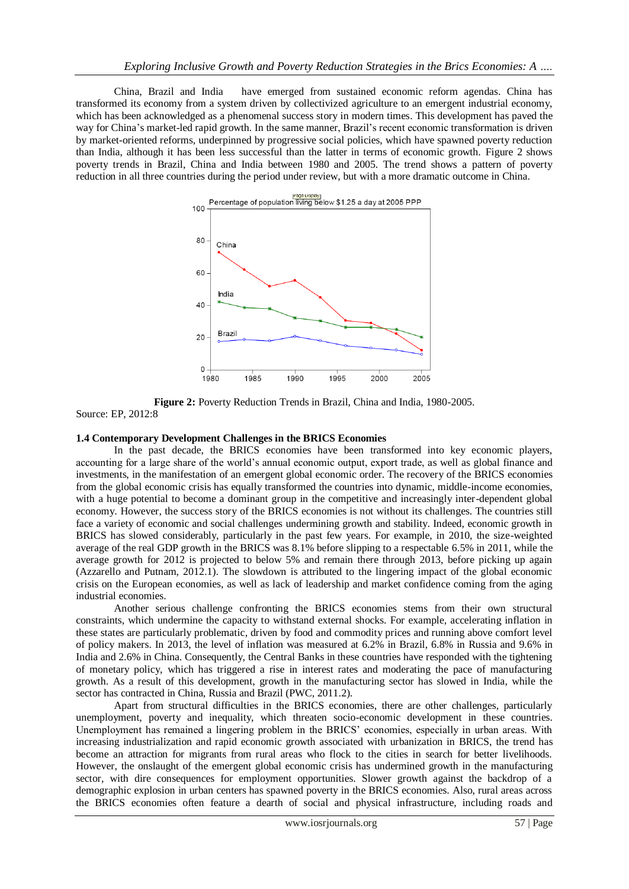China, Brazil and India have emerged from sustained economic reform agendas. China has transformed its economy from a system driven by collectivized agriculture to an emergent industrial economy, which has been acknowledged as a phenomenal success story in modern times. This development has paved the way for China"s market-led rapid growth. In the same manner, Brazil"s recent economic transformation is driven by market-oriented reforms, underpinned by progressive social policies, which have spawned poverty reduction than India, although it has been less successful than the latter in terms of economic growth. Figure 2 shows poverty trends in Brazil, China and India between 1980 and 2005. The trend shows a pattern of poverty reduction in all three countries during the period under review, but with a more dramatic outcome in China.



**Figure 2:** Poverty Reduction Trends in Brazil, China and India, 1980-2005. Source: EP, 2012:8

#### **1.4 Contemporary Development Challenges in the BRICS Economies**

In the past decade, the BRICS economies have been transformed into key economic players, accounting for a large share of the world"s annual economic output, export trade, as well as global finance and investments, in the manifestation of an emergent global economic order. The recovery of the BRICS economies from the global economic crisis has equally transformed the countries into dynamic, middle-income economies, with a huge potential to become a dominant group in the competitive and increasingly inter-dependent global economy. However, the success story of the BRICS economies is not without its challenges. The countries still face a variety of economic and social challenges undermining growth and stability. Indeed, economic growth in BRICS has slowed considerably, particularly in the past few years. For example, in 2010, the size-weighted average of the real GDP growth in the BRICS was 8.1% before slipping to a respectable 6.5% in 2011, while the average growth for 2012 is projected to below 5% and remain there through 2013, before picking up again (Azzarello and Putnam, 2012.1). The slowdown is attributed to the lingering impact of the global economic crisis on the European economies, as well as lack of leadership and market confidence coming from the aging industrial economies.

Another serious challenge confronting the BRICS economies stems from their own structural constraints, which undermine the capacity to withstand external shocks. For example, accelerating inflation in these states are particularly problematic, driven by food and commodity prices and running above comfort level of policy makers. In 2013, the level of inflation was measured at 6.2% in Brazil, 6.8% in Russia and 9.6% in India and 2.6% in China. Consequently, the Central Banks in these countries have responded with the tightening of monetary policy, which has triggered a rise in interest rates and moderating the pace of manufacturing growth. As a result of this development, growth in the manufacturing sector has slowed in India, while the sector has contracted in China, Russia and Brazil (PWC, 2011.2).

Apart from structural difficulties in the BRICS economies, there are other challenges, particularly unemployment, poverty and inequality, which threaten socio-economic development in these countries. Unemployment has remained a lingering problem in the BRICS" economies, especially in urban areas. With increasing industrialization and rapid economic growth associated with urbanization in BRICS, the trend has become an attraction for migrants from rural areas who flock to the cities in search for better livelihoods. However, the onslaught of the emergent global economic crisis has undermined growth in the manufacturing sector, with dire consequences for employment opportunities. Slower growth against the backdrop of a demographic explosion in urban centers has spawned poverty in the BRICS economies. Also, rural areas across the BRICS economies often feature a dearth of social and physical infrastructure, including roads and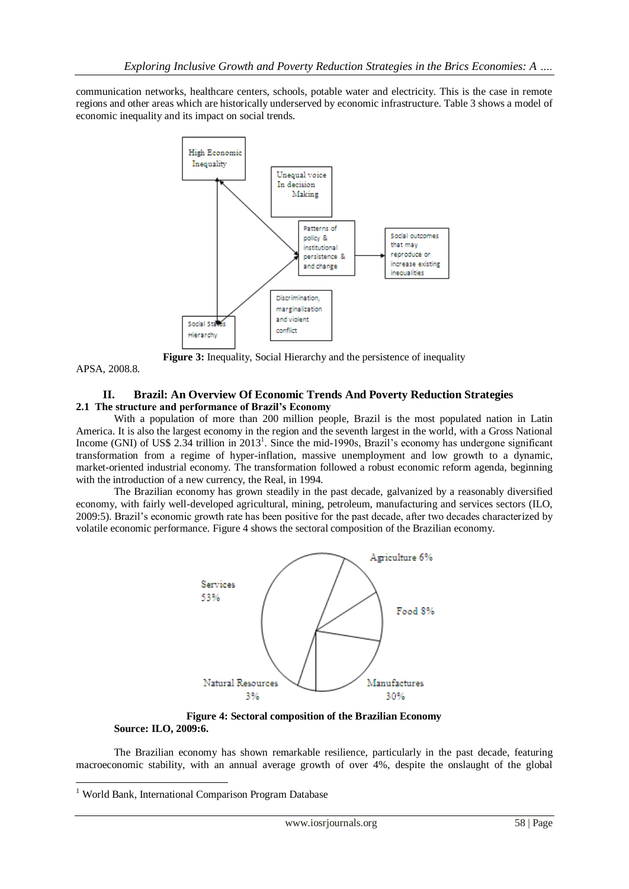communication networks, healthcare centers, schools, potable water and electricity. This is the case in remote regions and other areas which are historically underserved by economic infrastructure. Table 3 shows a model of economic inequality and its impact on social trends.



**Figure 3:** Inequality, Social Hierarchy and the persistence of inequality

APSA, 2008.8.

-

#### **II. Brazil: An Overview Of Economic Trends And Poverty Reduction Strategies 2.1 The structure and performance of Brazil's Economy**

With a population of more than 200 million people, Brazil is the most populated nation in Latin America. It is also the largest economy in the region and the seventh largest in the world, with a Gross National Income (GNI) of US\$ 2.34 trillion in 2013<sup>1</sup>. Since the mid-1990s, Brazil's economy has undergone significant transformation from a regime of hyper-inflation, massive unemployment and low growth to a dynamic, market-oriented industrial economy. The transformation followed a robust economic reform agenda, beginning with the introduction of a new currency, the Real, in 1994.

The Brazilian economy has grown steadily in the past decade, galvanized by a reasonably diversified economy, with fairly well-developed agricultural, mining, petroleum, manufacturing and services sectors (ILO, 2009:5). Brazil"s economic growth rate has been positive for the past decade, after two decades characterized by volatile economic performance. Figure 4 shows the sectoral composition of the Brazilian economy.



**Figure 4: Sectoral composition of the Brazilian Economy Source: ILO, 2009:6.**

The Brazilian economy has shown remarkable resilience, particularly in the past decade, featuring macroeconomic stability, with an annual average growth of over 4%, despite the onslaught of the global

<sup>&</sup>lt;sup>1</sup> World Bank, International Comparison Program Database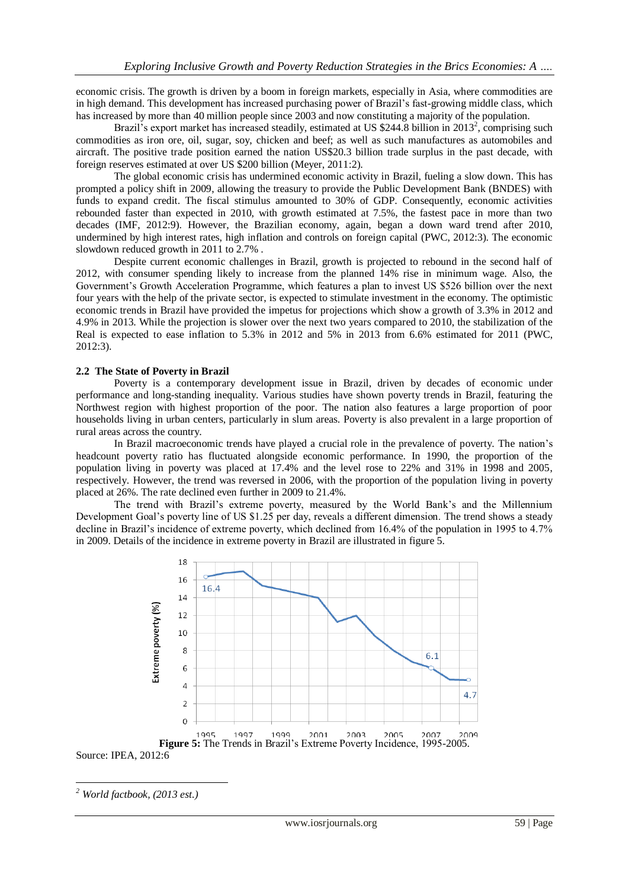economic crisis. The growth is driven by a boom in foreign markets, especially in Asia, where commodities are in high demand. This development has increased purchasing power of Brazil"s fast-growing middle class, which has increased by more than 40 million people since 2003 and now constituting a majority of the population.

Brazil's export market has increased steadily, estimated at US \$244.8 billion in  $2013^2$ , comprising such commodities as iron ore, oil, sugar, soy, chicken and beef; as well as such manufactures as automobiles and aircraft. The positive trade position earned the nation US\$20.3 billion trade surplus in the past decade, with foreign reserves estimated at over US \$200 billion (Meyer, 2011:2).

The global economic crisis has undermined economic activity in Brazil, fueling a slow down. This has prompted a policy shift in 2009, allowing the treasury to provide the Public Development Bank (BNDES) with funds to expand credit. The fiscal stimulus amounted to 30% of GDP. Consequently, economic activities rebounded faster than expected in 2010, with growth estimated at 7.5%, the fastest pace in more than two decades (IMF, 2012:9). However, the Brazilian economy, again, began a down ward trend after 2010, undermined by high interest rates, high inflation and controls on foreign capital (PWC, 2012:3). The economic slowdown reduced growth in 2011 to 2.7% .

Despite current economic challenges in Brazil, growth is projected to rebound in the second half of 2012, with consumer spending likely to increase from the planned 14% rise in minimum wage. Also, the Government"s Growth Acceleration Programme, which features a plan to invest US \$526 billion over the next four years with the help of the private sector, is expected to stimulate investment in the economy. The optimistic economic trends in Brazil have provided the impetus for projections which show a growth of 3.3% in 2012 and 4.9% in 2013. While the projection is slower over the next two years compared to 2010, the stabilization of the Real is expected to ease inflation to 5.3% in 2012 and 5% in 2013 from 6.6% estimated for 2011 (PWC, 2012:3).

#### **2.2 The State of Poverty in Brazil**

Poverty is a contemporary development issue in Brazil, driven by decades of economic under performance and long-standing inequality. Various studies have shown poverty trends in Brazil, featuring the Northwest region with highest proportion of the poor. The nation also features a large proportion of poor households living in urban centers, particularly in slum areas. Poverty is also prevalent in a large proportion of rural areas across the country.

In Brazil macroeconomic trends have played a crucial role in the prevalence of poverty. The nation"s headcount poverty ratio has fluctuated alongside economic performance. In 1990, the proportion of the population living in poverty was placed at 17.4% and the level rose to 22% and 31% in 1998 and 2005, respectively. However, the trend was reversed in 2006, with the proportion of the population living in poverty placed at 26%. The rate declined even further in 2009 to 21.4%.

The trend with Brazil's extreme poverty, measured by the World Bank's and the Millennium Development Goal's poverty line of US \$1.25 per day, reveals a different dimension. The trend shows a steady decline in Brazil"s incidence of extreme poverty, which declined from 16.4% of the population in 1995 to 4.7% in 2009. Details of the incidence in extreme poverty in Brazil are illustrated in figure 5.



<sup>-</sup>*<sup>2</sup> World factbook, (2013 est.)*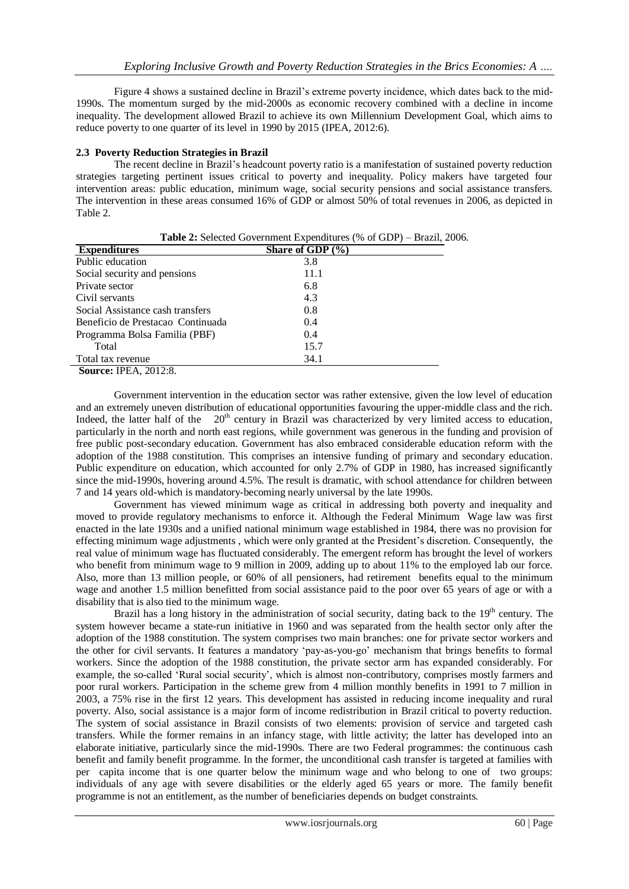Figure 4 shows a sustained decline in Brazil"s extreme poverty incidence, which dates back to the mid-1990s. The momentum surged by the mid-2000s as economic recovery combined with a decline in income inequality. The development allowed Brazil to achieve its own Millennium Development Goal, which aims to reduce poverty to one quarter of its level in 1990 by 2015 (IPEA, 2012:6).

# **2.3 Poverty Reduction Strategies in Brazil**

The recent decline in Brazil"s headcount poverty ratio is a manifestation of sustained poverty reduction strategies targeting pertinent issues critical to poverty and inequality. Policy makers have targeted four intervention areas: public education, minimum wage, social security pensions and social assistance transfers. The intervention in these areas consumed 16% of GDP or almost 50% of total revenues in 2006, as depicted in Table 2.

| <b>Expenditures</b>               | Share of GDP $(\% )$ |
|-----------------------------------|----------------------|
| Public education                  | 3.8                  |
| Social security and pensions      | 11.1                 |
| Private sector                    | 6.8                  |
| Civil servants                    | 4.3                  |
| Social Assistance cash transfers  | 0.8                  |
| Beneficio de Prestacao Continuada | 0.4                  |
| Programma Bolsa Familia (PBF)     | 0.4                  |
| Total                             | 15.7                 |
| Total tax revenue                 | 34.1                 |
| <b>Source: IPEA, 2012:8.</b>      |                      |

**Table 2:** Selected Government Expenditures (% of GDP) – Brazil, 2006.

Government intervention in the education sector was rather extensive, given the low level of education and an extremely uneven distribution of educational opportunities favouring the upper-middle class and the rich. Indeed, the latter half of the  $20<sup>th</sup>$  century in Brazil was characterized by very limited access to education, particularly in the north and north east regions, while government was generous in the funding and provision of free public post-secondary education. Government has also embraced considerable education reform with the adoption of the 1988 constitution. This comprises an intensive funding of primary and secondary education. Public expenditure on education, which accounted for only 2.7% of GDP in 1980, has increased significantly since the mid-1990s, hovering around 4.5%. The result is dramatic, with school attendance for children between 7 and 14 years old-which is mandatory-becoming nearly universal by the late 1990s.

Government has viewed minimum wage as critical in addressing both poverty and inequality and moved to provide regulatory mechanisms to enforce it. Although the Federal Minimum Wage law was first enacted in the late 1930s and a unified national minimum wage established in 1984, there was no provision for effecting minimum wage adjustments , which were only granted at the President"s discretion. Consequently, the real value of minimum wage has fluctuated considerably. The emergent reform has brought the level of workers who benefit from minimum wage to 9 million in 2009, adding up to about 11% to the employed lab our force. Also, more than 13 million people, or 60% of all pensioners, had retirement benefits equal to the minimum wage and another 1.5 million benefitted from social assistance paid to the poor over 65 years of age or with a disability that is also tied to the minimum wage.

Brazil has a long history in the administration of social security, dating back to the  $19<sup>th</sup>$  century. The system however became a state-run initiative in 1960 and was separated from the health sector only after the adoption of the 1988 constitution. The system comprises two main branches: one for private sector workers and the other for civil servants. It features a mandatory "pay-as-you-go" mechanism that brings benefits to formal workers. Since the adoption of the 1988 constitution, the private sector arm has expanded considerably. For example, the so-called 'Rural social security', which is almost non-contributory, comprises mostly farmers and poor rural workers. Participation in the scheme grew from 4 million monthly benefits in 1991 to 7 million in 2003, a 75% rise in the first 12 years. This development has assisted in reducing income inequality and rural poverty. Also, social assistance is a major form of income redistribution in Brazil critical to poverty reduction. The system of social assistance in Brazil consists of two elements: provision of service and targeted cash transfers. While the former remains in an infancy stage, with little activity; the latter has developed into an elaborate initiative, particularly since the mid-1990s. There are two Federal programmes: the continuous cash benefit and family benefit programme. In the former, the unconditional cash transfer is targeted at families with per capita income that is one quarter below the minimum wage and who belong to one of two groups: individuals of any age with severe disabilities or the elderly aged 65 years or more. The family benefit programme is not an entitlement, as the number of beneficiaries depends on budget constraints.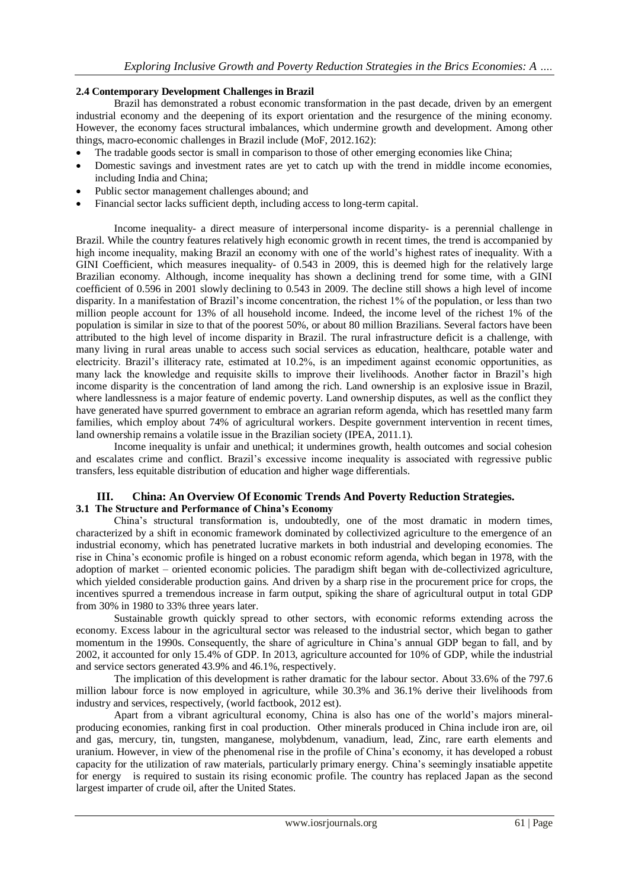#### **2.4 Contemporary Development Challenges in Brazil**

Brazil has demonstrated a robust economic transformation in the past decade, driven by an emergent industrial economy and the deepening of its export orientation and the resurgence of the mining economy. However, the economy faces structural imbalances, which undermine growth and development. Among other things, macro-economic challenges in Brazil include (MoF, 2012.162):

- The tradable goods sector is small in comparison to those of other emerging economies like China;
- Domestic savings and investment rates are yet to catch up with the trend in middle income economies, including India and China;
- Public sector management challenges abound; and
- Financial sector lacks sufficient depth, including access to long-term capital.

Income inequality- a direct measure of interpersonal income disparity- is a perennial challenge in Brazil. While the country features relatively high economic growth in recent times, the trend is accompanied by high income inequality, making Brazil an economy with one of the world"s highest rates of inequality. With a GINI Coefficient, which measures inequality- of 0.543 in 2009, this is deemed high for the relatively large Brazilian economy. Although, income inequality has shown a declining trend for some time, with a GINI coefficient of 0.596 in 2001 slowly declining to 0.543 in 2009. The decline still shows a high level of income disparity. In a manifestation of Brazil"s income concentration, the richest 1% of the population, or less than two million people account for 13% of all household income. Indeed, the income level of the richest 1% of the population is similar in size to that of the poorest 50%, or about 80 million Brazilians. Several factors have been attributed to the high level of income disparity in Brazil. The rural infrastructure deficit is a challenge, with many living in rural areas unable to access such social services as education, healthcare, potable water and electricity. Brazil"s illiteracy rate, estimated at 10.2%, is an impediment against economic opportunities, as many lack the knowledge and requisite skills to improve their livelihoods. Another factor in Brazil"s high income disparity is the concentration of land among the rich. Land ownership is an explosive issue in Brazil, where landlessness is a major feature of endemic poverty. Land ownership disputes, as well as the conflict they have generated have spurred government to embrace an agrarian reform agenda, which has resettled many farm families, which employ about 74% of agricultural workers. Despite government intervention in recent times, land ownership remains a volatile issue in the Brazilian society (IPEA, 2011.1).

Income inequality is unfair and unethical; it undermines growth, health outcomes and social cohesion and escalates crime and conflict. Brazil"s excessive income inequality is associated with regressive public transfers, less equitable distribution of education and higher wage differentials.

# **III. China: An Overview Of Economic Trends And Poverty Reduction Strategies.**

# **3.1 The Structure and Performance of China's Economy**

China"s structural transformation is, undoubtedly, one of the most dramatic in modern times, characterized by a shift in economic framework dominated by collectivized agriculture to the emergence of an industrial economy, which has penetrated lucrative markets in both industrial and developing economies. The rise in China"s economic profile is hinged on a robust economic reform agenda, which began in 1978, with the adoption of market – oriented economic policies. The paradigm shift began with de-collectivized agriculture, which yielded considerable production gains. And driven by a sharp rise in the procurement price for crops, the incentives spurred a tremendous increase in farm output, spiking the share of agricultural output in total GDP from 30% in 1980 to 33% three years later.

Sustainable growth quickly spread to other sectors, with economic reforms extending across the economy. Excess labour in the agricultural sector was released to the industrial sector, which began to gather momentum in the 1990s. Consequently, the share of agriculture in China"s annual GDP began to fall, and by 2002, it accounted for only 15.4% of GDP. In 2013, agriculture accounted for 10% of GDP, while the industrial and service sectors generated 43.9% and 46.1%, respectively.

The implication of this development is rather dramatic for the labour sector. About 33.6% of the 797.6 million labour force is now employed in agriculture, while 30.3% and 36.1% derive their livelihoods from industry and services, respectively, (world factbook, 2012 est).

Apart from a vibrant agricultural economy, China is also has one of the world"s majors mineralproducing economies, ranking first in coal production. Other minerals produced in China include iron are, oil and gas, mercury, tin, tungsten, manganese, molybdenum, vanadium, lead, Zinc, rare earth elements and uranium. However, in view of the phenomenal rise in the profile of China"s economy, it has developed a robust capacity for the utilization of raw materials, particularly primary energy. China"s seemingly insatiable appetite for energy is required to sustain its rising economic profile. The country has replaced Japan as the second largest imparter of crude oil, after the United States.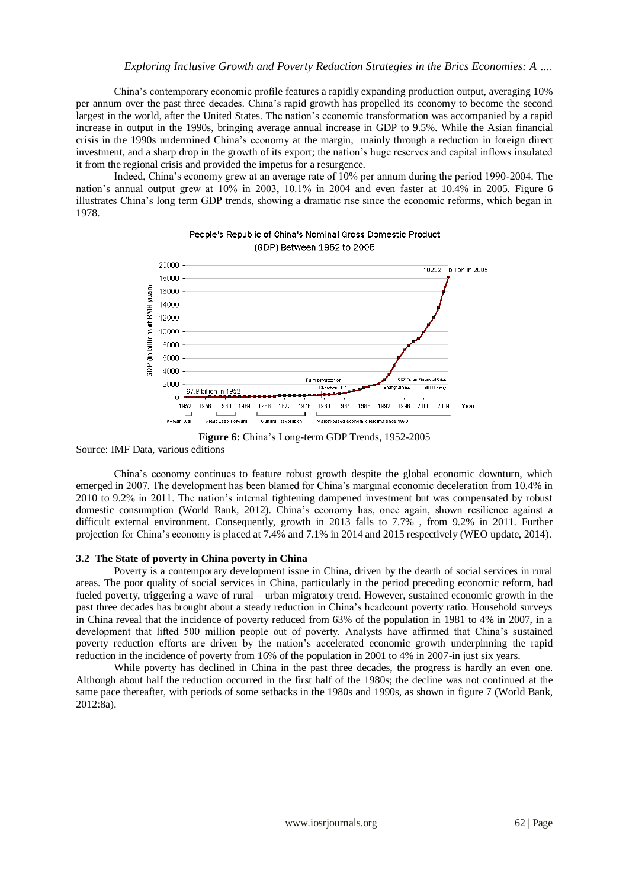China"s contemporary economic profile features a rapidly expanding production output, averaging 10% per annum over the past three decades. China"s rapid growth has propelled its economy to become the second largest in the world, after the United States. The nation"s economic transformation was accompanied by a rapid increase in output in the 1990s, bringing average annual increase in GDP to 9.5%. While the Asian financial crisis in the 1990s undermined China"s economy at the margin, mainly through a reduction in foreign direct investment, and a sharp drop in the growth of its export; the nation"s huge reserves and capital inflows insulated it from the regional crisis and provided the impetus for a resurgence.

Indeed, China"s economy grew at an average rate of 10% per annum during the period 1990-2004. The nation"s annual output grew at 10% in 2003, 10.1% in 2004 and even faster at 10.4% in 2005. Figure 6 illustrates China"s long term GDP trends, showing a dramatic rise since the economic reforms, which began in 1978.



People's Republic of China's Nominal Gross Domestic Product (GDP) Between 1952 to 2005

#### Source: IMF Data, various editions

China"s economy continues to feature robust growth despite the global economic downturn, which emerged in 2007. The development has been blamed for China"s marginal economic deceleration from 10.4% in 2010 to 9.2% in 2011. The nation"s internal tightening dampened investment but was compensated by robust domestic consumption (World Rank, 2012). China"s economy has, once again, shown resilience against a difficult external environment. Consequently, growth in 2013 falls to 7.7% , from 9.2% in 2011. Further projection for China"s economy is placed at 7.4% and 7.1% in 2014 and 2015 respectively (WEO update, 2014).

# **3.2 The State of poverty in China poverty in China**

Poverty is a contemporary development issue in China, driven by the dearth of social services in rural areas. The poor quality of social services in China, particularly in the period preceding economic reform, had fueled poverty, triggering a wave of rural – urban migratory trend. However, sustained economic growth in the past three decades has brought about a steady reduction in China"s headcount poverty ratio. Household surveys in China reveal that the incidence of poverty reduced from 63% of the population in 1981 to 4% in 2007, in a development that lifted 500 million people out of poverty. Analysts have affirmed that China"s sustained poverty reduction efforts are driven by the nation"s accelerated economic growth underpinning the rapid reduction in the incidence of poverty from 16% of the population in 2001 to 4% in 2007-in just six years.

While poverty has declined in China in the past three decades, the progress is hardly an even one. Although about half the reduction occurred in the first half of the 1980s; the decline was not continued at the same pace thereafter, with periods of some setbacks in the 1980s and 1990s, as shown in figure 7 (World Bank, 2012:8a).

**Figure 6:** China"s Long-term GDP Trends, 1952-2005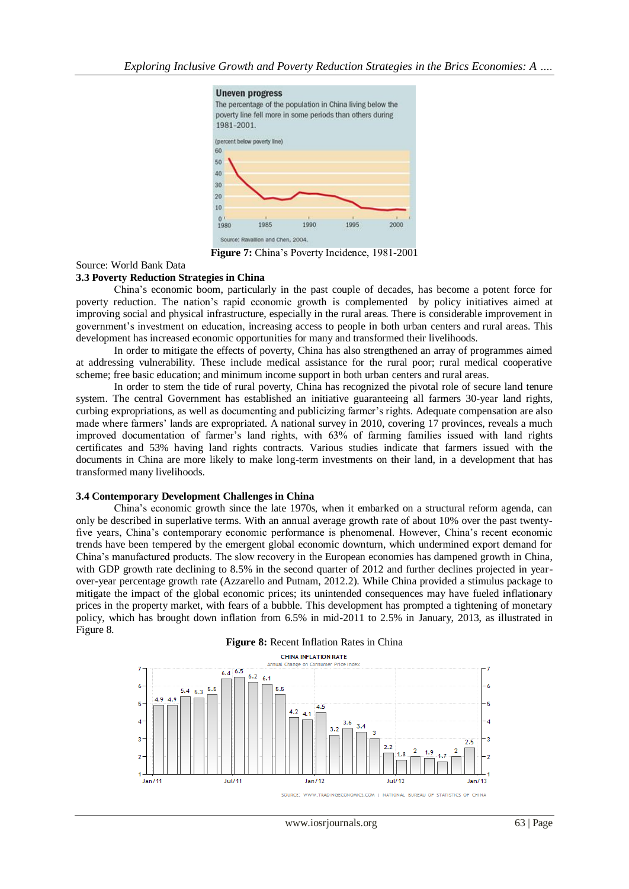

Figure 7: China's Poverty Incidence, 1981-2001

#### Source: World Bank Data

#### **3.3 Poverty Reduction Strategies in China**

China"s economic boom, particularly in the past couple of decades, has become a potent force for poverty reduction. The nation"s rapid economic growth is complemented by policy initiatives aimed at improving social and physical infrastructure, especially in the rural areas. There is considerable improvement in government"s investment on education, increasing access to people in both urban centers and rural areas. This development has increased economic opportunities for many and transformed their livelihoods.

In order to mitigate the effects of poverty, China has also strengthened an array of programmes aimed at addressing vulnerability. These include medical assistance for the rural poor; rural medical cooperative scheme; free basic education; and minimum income support in both urban centers and rural areas.

In order to stem the tide of rural poverty, China has recognized the pivotal role of secure land tenure system. The central Government has established an initiative guaranteeing all farmers 30-year land rights, curbing expropriations, as well as documenting and publicizing farmer"s rights. Adequate compensation are also made where farmers" lands are expropriated. A national survey in 2010, covering 17 provinces, reveals a much improved documentation of farmer"s land rights, with 63% of farming families issued with land rights certificates and 53% having land rights contracts. Various studies indicate that farmers issued with the documents in China are more likely to make long-term investments on their land, in a development that has transformed many livelihoods.

#### **3.4 Contemporary Development Challenges in China**

China"s economic growth since the late 1970s, when it embarked on a structural reform agenda, can only be described in superlative terms. With an annual average growth rate of about 10% over the past twentyfive years, China"s contemporary economic performance is phenomenal. However, China"s recent economic trends have been tempered by the emergent global economic downturn, which undermined export demand for China"s manufactured products. The slow recovery in the European economies has dampened growth in China, with GDP growth rate declining to 8.5% in the second quarter of 2012 and further declines projected in yearover-year percentage growth rate (Azzarello and Putnam, 2012.2). While China provided a stimulus package to mitigate the impact of the global economic prices; its unintended consequences may have fueled inflationary prices in the property market, with fears of a bubble. This development has prompted a tightening of monetary policy, which has brought down inflation from 6.5% in mid-2011 to 2.5% in January, 2013, as illustrated in Figure 8.

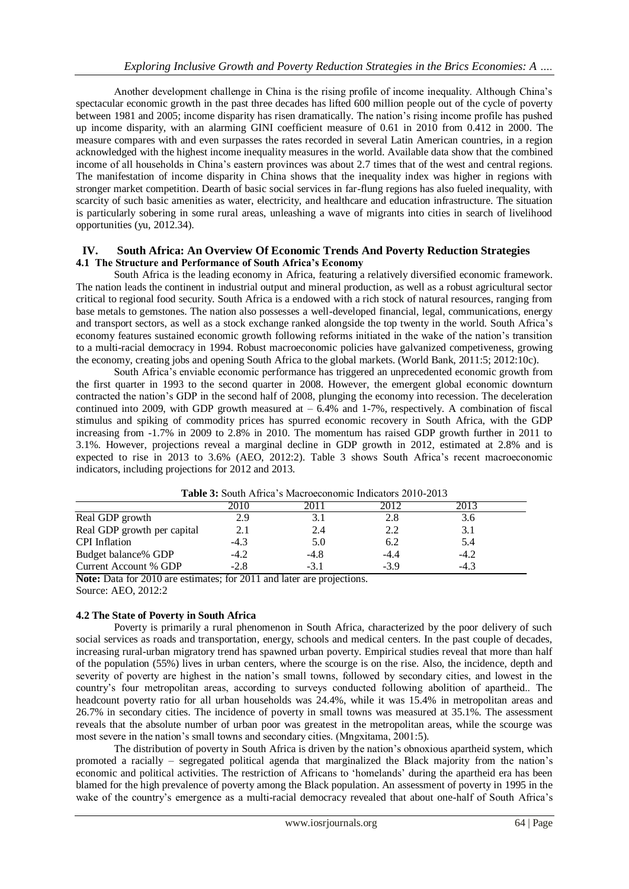Another development challenge in China is the rising profile of income inequality. Although China"s spectacular economic growth in the past three decades has lifted 600 million people out of the cycle of poverty between 1981 and 2005; income disparity has risen dramatically. The nation"s rising income profile has pushed up income disparity, with an alarming GINI coefficient measure of 0.61 in 2010 from 0.412 in 2000. The measure compares with and even surpasses the rates recorded in several Latin American countries, in a region acknowledged with the highest income inequality measures in the world. Available data show that the combined income of all households in China"s eastern provinces was about 2.7 times that of the west and central regions. The manifestation of income disparity in China shows that the inequality index was higher in regions with stronger market competition. Dearth of basic social services in far-flung regions has also fueled inequality, with scarcity of such basic amenities as water, electricity, and healthcare and education infrastructure. The situation is particularly sobering in some rural areas, unleashing a wave of migrants into cities in search of livelihood opportunities (yu, 2012.34).

# **IV. South Africa: An Overview Of Economic Trends And Poverty Reduction Strategies 4.1 The Structure and Performance of South Africa's Economy**

South Africa is the leading economy in Africa, featuring a relatively diversified economic framework. The nation leads the continent in industrial output and mineral production, as well as a robust agricultural sector critical to regional food security. South Africa is a endowed with a rich stock of natural resources, ranging from base metals to gemstones. The nation also possesses a well-developed financial, legal, communications, energy and transport sectors, as well as a stock exchange ranked alongside the top twenty in the world. South Africa"s economy features sustained economic growth following reforms initiated in the wake of the nation"s transition to a multi-racial democracy in 1994. Robust macroeconomic policies have galvanized competiveness, growing the economy, creating jobs and opening South Africa to the global markets. (World Bank, 2011:5; 2012:10c).

South Africa"s enviable economic performance has triggered an unprecedented economic growth from the first quarter in 1993 to the second quarter in 2008. However, the emergent global economic downturn contracted the nation"s GDP in the second half of 2008, plunging the economy into recession. The deceleration continued into 2009, with GDP growth measured at  $-6.4\%$  and 1-7%, respectively. A combination of fiscal stimulus and spiking of commodity prices has spurred economic recovery in South Africa, with the GDP increasing from -1.7% in 2009 to 2.8% in 2010. The momentum has raised GDP growth further in 2011 to 3.1%. However, projections reveal a marginal decline in GDP growth in 2012, estimated at 2.8% and is expected to rise in 2013 to 3.6% (AEO, 2012:2). Table 3 shows South Africa's recent macroeconomic indicators, including projections for 2012 and 2013.

| <b>A WAY OF DOMEL THERE DEPENDED OUTSTANDED</b> HIMPORTS HOTS HOTS |        |        |        |        |  |
|--------------------------------------------------------------------|--------|--------|--------|--------|--|
|                                                                    |        |        |        |        |  |
| Real GDP growth                                                    |        |        | 2.8    |        |  |
| Real GDP growth per capital                                        |        | 2.4    | 2.2    |        |  |
| <b>CPI</b> Inflation                                               | $-4.3$ | 5.0    | 6.2    | 5.4    |  |
| Budget balance% GDP                                                | -4.2   | -4.8   | -4.4   | $-4.2$ |  |
| Current Account % GDP                                              | $-2.8$ | $-3.1$ | $-3.9$ | $-4.3$ |  |

| <b>Table 3:</b> South Africa's Macroeconomic Indicators 2010-2013 |  |
|-------------------------------------------------------------------|--|
|-------------------------------------------------------------------|--|

**Note:** Data for 2010 are estimates; for 2011 and later are projections. Source: AEO, 2012:2

# **4.2 The State of Poverty in South Africa**

Poverty is primarily a rural phenomenon in South Africa, characterized by the poor delivery of such social services as roads and transportation, energy, schools and medical centers. In the past couple of decades, increasing rural-urban migratory trend has spawned urban poverty. Empirical studies reveal that more than half of the population (55%) lives in urban centers, where the scourge is on the rise. Also, the incidence, depth and severity of poverty are highest in the nation"s small towns, followed by secondary cities, and lowest in the country"s four metropolitan areas, according to surveys conducted following abolition of apartheid.. The headcount poverty ratio for all urban households was 24.4%, while it was 15.4% in metropolitan areas and 26.7% in secondary cities. The incidence of poverty in small towns was measured at 35.1%. The assessment reveals that the absolute number of urban poor was greatest in the metropolitan areas, while the scourge was most severe in the nation"s small towns and secondary cities. (Mngxitama, 2001:5).

The distribution of poverty in South Africa is driven by the nation"s obnoxious apartheid system, which promoted a racially – segregated political agenda that marginalized the Black majority from the nation"s economic and political activities. The restriction of Africans to "homelands" during the apartheid era has been blamed for the high prevalence of poverty among the Black population. An assessment of poverty in 1995 in the wake of the country's emergence as a multi-racial democracy revealed that about one-half of South Africa's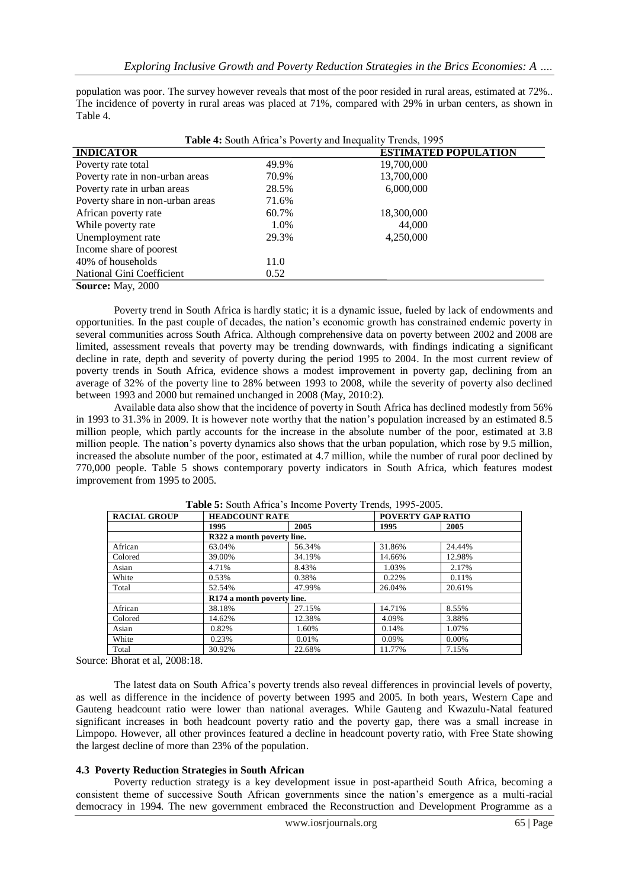population was poor. The survey however reveals that most of the poor resided in rural areas, estimated at 72%.. The incidence of poverty in rural areas was placed at 71%, compared with 29% in urban centers, as shown in Table 4.

| <b>Table 4:</b> South Africa's Poverty and Inequality Trends, 1995 |       |                             |  |
|--------------------------------------------------------------------|-------|-----------------------------|--|
| <b>INDICATOR</b>                                                   |       | <b>ESTIMATED POPULATION</b> |  |
| Poverty rate total                                                 | 49.9% | 19,700,000                  |  |
| Poverty rate in non-urban areas                                    | 70.9% | 13,700,000                  |  |
| Poverty rate in urban areas                                        | 28.5% | 6,000,000                   |  |
| Poverty share in non-urban areas                                   | 71.6% |                             |  |
| African poverty rate                                               | 60.7% | 18,300,000                  |  |
| While poverty rate                                                 | 1.0%  | 44,000                      |  |
| Unemployment rate                                                  | 29.3% | 4,250,000                   |  |
| Income share of poorest                                            |       |                             |  |
| 40% of households                                                  | 11.0  |                             |  |
| National Gini Coefficient                                          | 0.52  |                             |  |
| <b>Source: May, 2000</b>                                           |       |                             |  |

Poverty trend in South Africa is hardly static; it is a dynamic issue, fueled by lack of endowments and opportunities. In the past couple of decades, the nation"s economic growth has constrained endemic poverty in several communities across South Africa. Although comprehensive data on poverty between 2002 and 2008 are limited, assessment reveals that poverty may be trending downwards, with findings indicating a significant decline in rate, depth and severity of poverty during the period 1995 to 2004. In the most current review of poverty trends in South Africa, evidence shows a modest improvement in poverty gap, declining from an average of 32% of the poverty line to 28% between 1993 to 2008, while the severity of poverty also declined between 1993 and 2000 but remained unchanged in 2008 (May, 2010:2).

Available data also show that the incidence of poverty in South Africa has declined modestly from 56% in 1993 to 31.3% in 2009. It is however note worthy that the nation"s population increased by an estimated 8.5 million people, which partly accounts for the increase in the absolute number of the poor, estimated at 3.8 million people. The nation"s poverty dynamics also shows that the urban population, which rose by 9.5 million, increased the absolute number of the poor, estimated at 4.7 million, while the number of rural poor declined by 770,000 people. Table 5 shows contemporary poverty indicators in South Africa, which features modest improvement from 1995 to 2005.

| <b>RACIAL GROUP</b> | <b>HEADCOUNT RATE</b>      |                            |        | <b>POVERTY GAP RATIO</b> |  |  |
|---------------------|----------------------------|----------------------------|--------|--------------------------|--|--|
|                     | 1995                       | 2005                       | 1995   | 2005                     |  |  |
|                     |                            | R322 a month poverty line. |        |                          |  |  |
| African             | 63.04%                     | 56.34%                     | 31.86% | 24.44%                   |  |  |
| Colored             | 39.00%                     | 34.19%                     | 14.66% | 12.98%                   |  |  |
| Asian               | 4.71%                      | 8.43%                      | 1.03%  | 2.17%                    |  |  |
| White               | 0.53%                      | 0.38%                      | 0.22%  | 0.11%                    |  |  |
| Total               | 52.54%                     | 47.99%                     | 26.04% | 20.61%                   |  |  |
|                     | R174 a month poverty line. |                            |        |                          |  |  |
| African             | 38.18%                     | 27.15%                     | 14.71% | 8.55%                    |  |  |
| Colored             | 14.62%                     | 12.38%                     | 4.09%  | 3.88%                    |  |  |
| Asian               | 0.82%                      | 1.60%                      | 0.14%  | 1.07%                    |  |  |
| White               | 0.23%                      | 0.01%                      | 0.09%  | $0.00\%$                 |  |  |
| Total               | 30.92%                     | 22.68%                     | 11.77% | 7.15%                    |  |  |

**Table 5:** South Africa"s Income Poverty Trends, 1995-2005.

Source: Bhorat et al, 2008:18.

The latest data on South Africa"s poverty trends also reveal differences in provincial levels of poverty, as well as difference in the incidence of poverty between 1995 and 2005. In both years, Western Cape and Gauteng headcount ratio were lower than national averages. While Gauteng and Kwazulu-Natal featured significant increases in both headcount poverty ratio and the poverty gap, there was a small increase in Limpopo. However, all other provinces featured a decline in headcount poverty ratio, with Free State showing the largest decline of more than 23% of the population.

#### **4.3 Poverty Reduction Strategies in South African**

Poverty reduction strategy is a key development issue in post-apartheid South Africa, becoming a consistent theme of successive South African governments since the nation"s emergence as a multi-racial democracy in 1994. The new government embraced the Reconstruction and Development Programme as a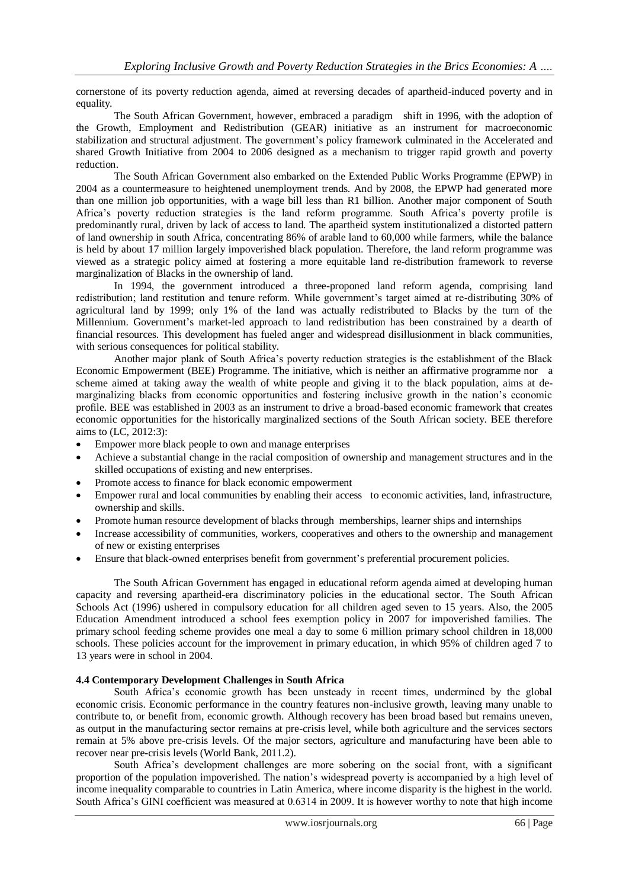cornerstone of its poverty reduction agenda, aimed at reversing decades of apartheid-induced poverty and in equality.

The South African Government, however, embraced a paradigm shift in 1996, with the adoption of the Growth, Employment and Redistribution (GEAR) initiative as an instrument for macroeconomic stabilization and structural adjustment. The government"s policy framework culminated in the Accelerated and shared Growth Initiative from 2004 to 2006 designed as a mechanism to trigger rapid growth and poverty reduction.

The South African Government also embarked on the Extended Public Works Programme (EPWP) in 2004 as a countermeasure to heightened unemployment trends. And by 2008, the EPWP had generated more than one million job opportunities, with a wage bill less than R1 billion. Another major component of South Africa"s poverty reduction strategies is the land reform programme. South Africa"s poverty profile is predominantly rural, driven by lack of access to land. The apartheid system institutionalized a distorted pattern of land ownership in south Africa, concentrating 86% of arable land to 60,000 while farmers, while the balance is held by about 17 million largely impoverished black population. Therefore, the land reform programme was viewed as a strategic policy aimed at fostering a more equitable land re-distribution framework to reverse marginalization of Blacks in the ownership of land.

In 1994, the government introduced a three-proponed land reform agenda, comprising land redistribution; land restitution and tenure reform. While government"s target aimed at re-distributing 30% of agricultural land by 1999; only 1% of the land was actually redistributed to Blacks by the turn of the Millennium. Government's market-led approach to land redistribution has been constrained by a dearth of financial resources. This development has fueled anger and widespread disillusionment in black communities, with serious consequences for political stability.

Another major plank of South Africa"s poverty reduction strategies is the establishment of the Black Economic Empowerment (BEE) Programme. The initiative, which is neither an affirmative programme nor a scheme aimed at taking away the wealth of white people and giving it to the black population, aims at demarginalizing blacks from economic opportunities and fostering inclusive growth in the nation"s economic profile. BEE was established in 2003 as an instrument to drive a broad-based economic framework that creates economic opportunities for the historically marginalized sections of the South African society. BEE therefore aims to (LC, 2012:3):

- Empower more black people to own and manage enterprises
- Achieve a substantial change in the racial composition of ownership and management structures and in the skilled occupations of existing and new enterprises.
- Promote access to finance for black economic empowerment
- Empower rural and local communities by enabling their access to economic activities, land, infrastructure, ownership and skills.
- Promote human resource development of blacks through memberships, learner ships and internships
- Increase accessibility of communities, workers, cooperatives and others to the ownership and management of new or existing enterprises
- Ensure that black-owned enterprises benefit from government"s preferential procurement policies.

The South African Government has engaged in educational reform agenda aimed at developing human capacity and reversing apartheid-era discriminatory policies in the educational sector. The South African Schools Act (1996) ushered in compulsory education for all children aged seven to 15 years. Also, the 2005 Education Amendment introduced a school fees exemption policy in 2007 for impoverished families. The primary school feeding scheme provides one meal a day to some 6 million primary school children in 18,000 schools. These policies account for the improvement in primary education, in which 95% of children aged 7 to 13 years were in school in 2004.

#### **4.4 Contemporary Development Challenges in South Africa**

South Africa"s economic growth has been unsteady in recent times, undermined by the global economic crisis. Economic performance in the country features non-inclusive growth, leaving many unable to contribute to, or benefit from, economic growth. Although recovery has been broad based but remains uneven, as output in the manufacturing sector remains at pre-crisis level, while both agriculture and the services sectors remain at 5% above pre-crisis levels. Of the major sectors, agriculture and manufacturing have been able to recover near pre-crisis levels (World Bank, 2011.2).

South Africa"s development challenges are more sobering on the social front, with a significant proportion of the population impoverished. The nation"s widespread poverty is accompanied by a high level of income inequality comparable to countries in Latin America, where income disparity is the highest in the world. South Africa"s GINI coefficient was measured at 0.6314 in 2009. It is however worthy to note that high income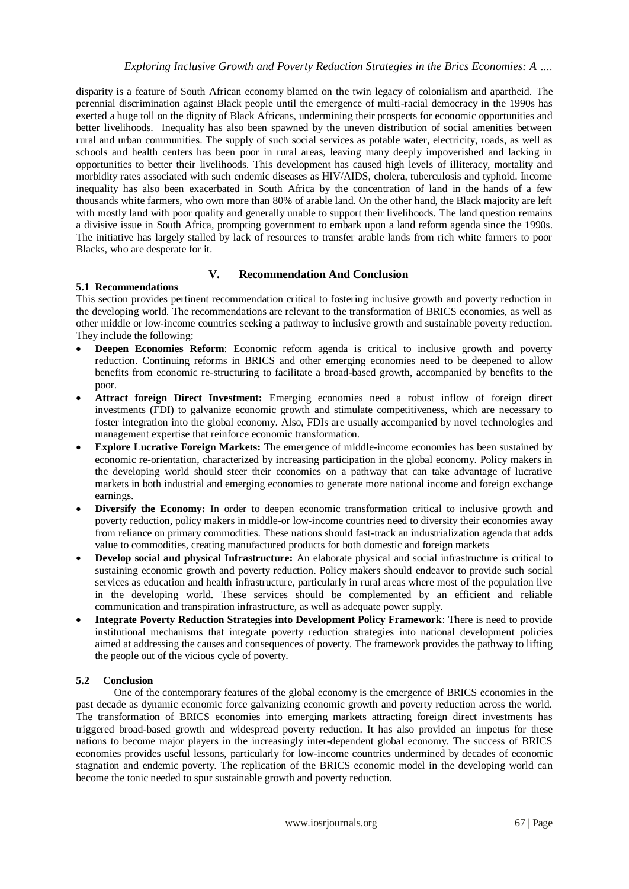disparity is a feature of South African economy blamed on the twin legacy of colonialism and apartheid. The perennial discrimination against Black people until the emergence of multi-racial democracy in the 1990s has exerted a huge toll on the dignity of Black Africans, undermining their prospects for economic opportunities and better livelihoods. Inequality has also been spawned by the uneven distribution of social amenities between rural and urban communities. The supply of such social services as potable water, electricity, roads, as well as schools and health centers has been poor in rural areas, leaving many deeply impoverished and lacking in opportunities to better their livelihoods. This development has caused high levels of illiteracy, mortality and morbidity rates associated with such endemic diseases as HIV/AIDS, cholera, tuberculosis and typhoid. Income inequality has also been exacerbated in South Africa by the concentration of land in the hands of a few thousands white farmers, who own more than 80% of arable land. On the other hand, the Black majority are left with mostly land with poor quality and generally unable to support their livelihoods. The land question remains a divisive issue in South Africa, prompting government to embark upon a land reform agenda since the 1990s. The initiative has largely stalled by lack of resources to transfer arable lands from rich white farmers to poor Blacks, who are desperate for it.

# **V. Recommendation And Conclusion**

# **5.1 Recommendations**

This section provides pertinent recommendation critical to fostering inclusive growth and poverty reduction in the developing world. The recommendations are relevant to the transformation of BRICS economies, as well as other middle or low-income countries seeking a pathway to inclusive growth and sustainable poverty reduction. They include the following:

- **Deepen Economies Reform**: Economic reform agenda is critical to inclusive growth and poverty reduction. Continuing reforms in BRICS and other emerging economies need to be deepened to allow benefits from economic re-structuring to facilitate a broad-based growth, accompanied by benefits to the poor.
- **Attract foreign Direct Investment:** Emerging economies need a robust inflow of foreign direct investments (FDI) to galvanize economic growth and stimulate competitiveness, which are necessary to foster integration into the global economy. Also, FDIs are usually accompanied by novel technologies and management expertise that reinforce economic transformation.
- **Explore Lucrative Foreign Markets:** The emergence of middle-income economies has been sustained by economic re-orientation, characterized by increasing participation in the global economy. Policy makers in the developing world should steer their economies on a pathway that can take advantage of lucrative markets in both industrial and emerging economies to generate more national income and foreign exchange earnings.
- **Diversify the Economy:** In order to deepen economic transformation critical to inclusive growth and poverty reduction, policy makers in middle-or low-income countries need to diversity their economies away from reliance on primary commodities. These nations should fast-track an industrialization agenda that adds value to commodities, creating manufactured products for both domestic and foreign markets
- **Develop social and physical Infrastructure:** An elaborate physical and social infrastructure is critical to sustaining economic growth and poverty reduction. Policy makers should endeavor to provide such social services as education and health infrastructure, particularly in rural areas where most of the population live in the developing world. These services should be complemented by an efficient and reliable communication and transpiration infrastructure, as well as adequate power supply.
- **Integrate Poverty Reduction Strategies into Development Policy Framework**: There is need to provide institutional mechanisms that integrate poverty reduction strategies into national development policies aimed at addressing the causes and consequences of poverty. The framework provides the pathway to lifting the people out of the vicious cycle of poverty.

# **5.2 Conclusion**

One of the contemporary features of the global economy is the emergence of BRICS economies in the past decade as dynamic economic force galvanizing economic growth and poverty reduction across the world. The transformation of BRICS economies into emerging markets attracting foreign direct investments has triggered broad-based growth and widespread poverty reduction. It has also provided an impetus for these nations to become major players in the increasingly inter-dependent global economy. The success of BRICS economies provides useful lessons, particularly for low-income countries undermined by decades of economic stagnation and endemic poverty. The replication of the BRICS economic model in the developing world can become the tonic needed to spur sustainable growth and poverty reduction.